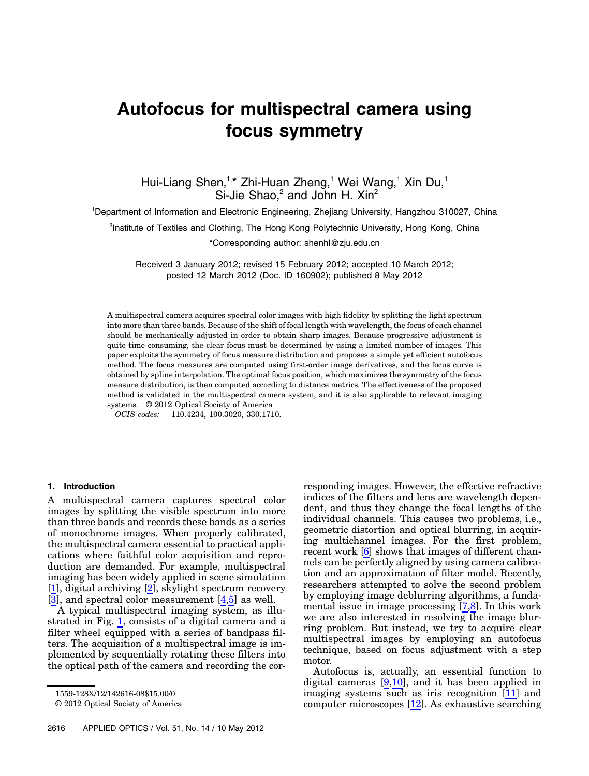# Autofocus for multispectral camera using focus symmetry

Hui-Liang Shen,<sup>1,\*</sup> Zhi-Huan Zheng,<sup>1</sup> Wei Wang,<sup>1</sup> Xin Du,<sup>1</sup> Si-Jie Shao, $^2$  and John H. Xin $^2$ 

1 Department of Information and Electronic Engineering, Zhejiang University, Hangzhou 310027, China

2 Institute of Textiles and Clothing, The Hong Kong Polytechnic University, Hong Kong, China

\*Corresponding author: shenhl@zju.edu.cn

Received 3 January 2012; revised 15 February 2012; accepted 10 March 2012; posted 12 March 2012 (Doc. ID 160902); published 8 May 2012

A multispectral camera acquires spectral color images with high fidelity by splitting the light spectrum into more than three bands. Because of the shift of focal length with wavelength, the focus of each channel should be mechanically adjusted in order to obtain sharp images. Because progressive adjustment is quite time consuming, the clear focus must be determined by using a limited number of images. This paper exploits the symmetry of focus measure distribution and proposes a simple yet efficient autofocus method. The focus measures are computed using first-order image derivatives, and the focus curve is obtained by spline interpolation. The optimal focus position, which maximizes the symmetry of the focus measure distribution, is then computed according to distance metrics. The effectiveness of the proposed method is validated in the multispectral camera system, and it is also applicable to relevant imaging systems. © 2012 Optical Society of America

OCIS codes: 110.4234, 100.3020, 330.1710.

# 1. Introduction

A multispectral camera captures spectral color images by splitting the visible spectrum into more than three bands and records these bands as a series of monochrome images. When properly calibrated, the multispectral camera essential to practical applications where faithful color acquisition and reproduction are demanded. For example, multispectral imaging has been widely applied in scene simulation [\[1\]](#page-7-0), digital archiving [\[2\]](#page-7-1), skylight spectrum recovery [\[3\]](#page-7-2), and spectral color measurement [\[4,](#page-7-3)[5](#page-7-4)] as well.

A typical multispectral imaging system, as illustrated in Fig. [1](#page-1-0), consists of a digital camera and a filter wheel equipped with a series of bandpass filters. The acquisition of a multispectral image is implemented by sequentially rotating these filters into the optical path of the camera and recording the cor-

© 2012 Optical Society of America

responding images. However, the effective refractive indices of the filters and lens are wavelength dependent, and thus they change the focal lengths of the individual channels. This causes two problems, i.e., geometric distortion and optical blurring, in acquiring multichannel images. For the first problem, recent work [[6](#page-7-5)] shows that images of different channels can be perfectly aligned by using camera calibration and an approximation of filter model. Recently, researchers attempted to solve the second problem by employing image deblurring algorithms, a fundamental issue in image processing [\[7,](#page-7-6)[8\]](#page-7-7). In this work we are also interested in resolving the image blurring problem. But instead, we try to acquire clear multispectral images by employing an autofocus technique, based on focus adjustment with a step motor.

Autofocus is, actually, an essential function to digital cameras  $[9,10]$  $[9,10]$  $[9,10]$  $[9,10]$ , and it has been applied in imaging systems such as iris recognition [[11\]](#page-7-10) and computer microscopes [[12\]](#page-7-11). As exhaustive searching

<sup>1559-128</sup>X/12/142616-08\$15.00/0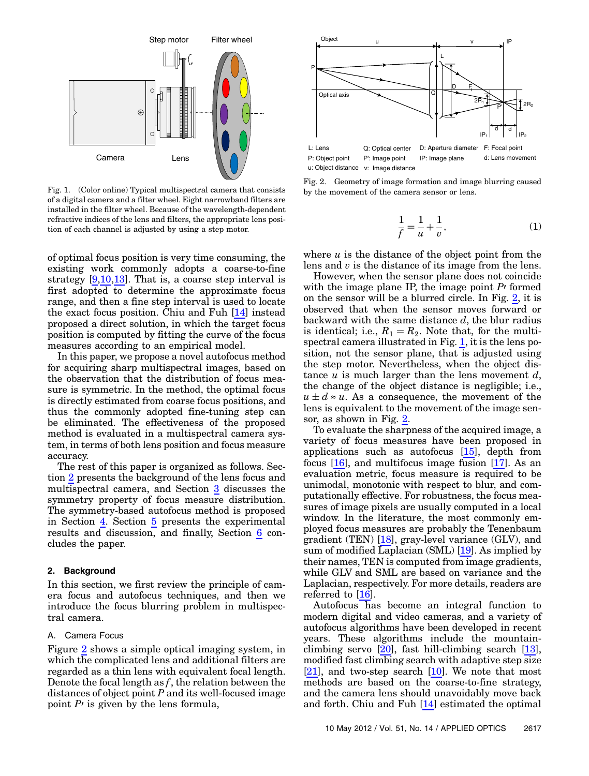<span id="page-1-0"></span>

Fig. 1. (Color online) Typical multispectral camera that consists of a digital camera and a filter wheel. Eight narrowband filters are installed in the filter wheel. Because of the wavelength-dependent refractive indices of the lens and filters, the appropriate lens position of each channel is adjusted by using a step motor.

of optimal focus position is very time consuming, the existing work commonly adopts a coarse-to-fine strategy  $[9,10,13]$  $[9,10,13]$  $[9,10,13]$  $[9,10,13]$  $[9,10,13]$ . That is, a coarse step interval is first adopted to determine the approximate focus range, and then a fine step interval is used to locate the exact focus position. Chiu and Fuh [\[14](#page-7-13)] instead proposed a direct solution, in which the target focus position is computed by fitting the curve of the focus measures according to an empirical model.

In this paper, we propose a novel autofocus method for acquiring sharp multispectral images, based on the observation that the distribution of focus measure is symmetric. In the method, the optimal focus is directly estimated from coarse focus positions, and thus the commonly adopted fine-tuning step can be eliminated. The effectiveness of the proposed method is evaluated in a multispectral camera system, in terms of both lens position and focus measure accuracy.

The rest of this paper is organized as follows. Section [2](#page-1-1) presents the background of the lens focus and multispectral camera, and Section [3](#page-2-0) discusses the symmetry property of focus measure distribution. The symmetry-based autofocus method is proposed in Section  $\underline{4}$  $\underline{4}$  $\underline{4}$ . Section  $\underline{5}$  $\underline{5}$  $\underline{5}$  presents the experimental results and discussion, and finally, Section [6](#page-6-0) concludes the paper.

#### <span id="page-1-1"></span>2. Background

In this section, we first review the principle of camera focus and autofocus techniques, and then we introduce the focus blurring problem in multispectral camera.

## A. Camera Focus

Figure [2](#page-1-2) shows a simple optical imaging system, in which the complicated lens and additional filters are regarded as a thin lens with equivalent focal length. Denote the focal length as  $f$ , the relation between the distances of object point  $P$  and its well-focused image point  $P<sub>1</sub>$  is given by the lens formula,

<span id="page-1-2"></span>

Fig. 2. Geometry of image formation and image blurring caused by the movement of the camera sensor or lens.

$$
\frac{1}{f} = \frac{1}{u} + \frac{1}{v},
$$
 (1)

where  $u$  is the distance of the object point from the lens and  $v$  is the distance of its image from the lens.

However, when the sensor plane does not coincide with the image plane IP, the image point  $P<sup>j</sup>$  formed on the sensor will be a blurred circle. In Fig. [2](#page-1-2), it is observed that when the sensor moves forward or backward with the same distance  $d$ , the blur radius is identical; i.e.,  $R_1 = R_2$ . Note that, for the multispectral camera illustrated in Fig.  $1$ , it is the lens position, not the sensor plane, that is adjusted using the step motor. Nevertheless, when the object distance  $u$  is much larger than the lens movement  $d$ , the change of the object distance is negligible; i.e.,  $u \pm d \approx u$ . As a consequence, the movement of the lens is equivalent to the movement of the image sensor, as shown in Fig. [2](#page-1-2).

To evaluate the sharpness of the acquired image, a variety of focus measures have been proposed in applications such as autofocus [\[15](#page-7-14)], depth from focus [\[16\]](#page-7-15), and multifocus image fusion [[17\]](#page-7-16). As an evaluation metric, focus measure is required to be unimodal, monotonic with respect to blur, and computationally effective. For robustness, the focus measures of image pixels are usually computed in a local window. In the literature, the most commonly employed focus measures are probably the Tenenbaum gradient (TEN)  $[18]$  $[18]$ , gray-level variance (GLV), and sum of modified Laplacian (SML) [\[19](#page-7-18)]. As implied by their names, TEN is computed from image gradients, while GLV and SML are based on variance and the Laplacian, respectively. For more details, readers are referred to [\[16](#page-7-15)].

Autofocus has become an integral function to modern digital and video cameras, and a variety of autofocus algorithms have been developed in recent years. These algorithms include the mountainclimbing servo [\[20](#page-7-19)], fast hill-climbing search [[13](#page-7-12)], modified fast climbing search with adaptive step size [\[21](#page-7-20)], and two-step search [\[10\]](#page-7-9). We note that most methods are based on the coarse-to-fine strategy, and the camera lens should unavoidably move back and forth. Chiu and Fuh [\[14](#page-7-13)] estimated the optimal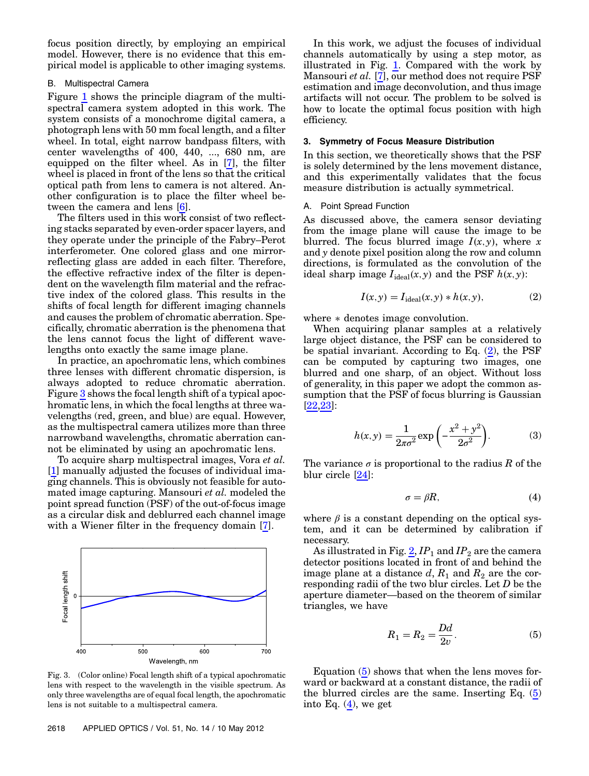focus position directly, by employing an empirical model. However, there is no evidence that this empirical model is applicable to other imaging systems.

## B. Multispectral Camera

Figure [1](#page-1-0) shows the principle diagram of the multispectral camera system adopted in this work. The system consists of a monochrome digital camera, a photograph lens with 50 mm focal length, and a filter wheel. In total, eight narrow bandpass filters, with center wavelengths of 400, 440, ..., 680 nm, are equipped on the filter wheel. As in [[7](#page-7-6)], the filter wheel is placed in front of the lens so that the critical optical path from lens to camera is not altered. Another configuration is to place the filter wheel between the camera and lens [\[6\]](#page-7-5).

The filters used in this work consist of two reflecting stacks separated by even-order spacer layers, and they operate under the principle of the Fabry–Perot interferometer. One colored glass and one mirrorreflecting glass are added in each filter. Therefore, the effective refractive index of the filter is dependent on the wavelength film material and the refractive index of the colored glass. This results in the shifts of focal length for different imaging channels and causes the problem of chromatic aberration. Specifically, chromatic aberration is the phenomena that the lens cannot focus the light of different wavelengths onto exactly the same image plane.

In practice, an apochromatic lens, which combines three lenses with different chromatic dispersion, is always adopted to reduce chromatic aberration. Figure [3](#page-2-1) shows the focal length shift of a typical apochromatic lens, in which the focal lengths at three wavelengths (red, green, and blue) are equal. However, as the multispectral camera utilizes more than three narrowband wavelengths, chromatic aberration cannot be eliminated by using an apochromatic lens.

To acquire sharp multispectral images, Vora et al. [\[1\]](#page-7-0) manually adjusted the focuses of individual imaging channels. This is obviously not feasible for automated image capturing. Mansouri et al. modeled the point spread function (PSF) of the out-of-focus image as a circular disk and deblurred each channel image with a Wiener filter in the frequency domain [[7](#page-7-6)].

<span id="page-2-1"></span>

Fig. 3. (Color online) Focal length shift of a typical apochromatic lens with respect to the wavelength in the visible spectrum. As only three wavelengths are of equal focal length, the apochromatic lens is not suitable to a multispectral camera.

In this work, we adjust the focuses of individual channels automatically by using a step motor, as illustrated in Fig. [1.](#page-1-0) Compared with the work by Mansouri et al.  $\overline{[7]}$  $\overline{[7]}$  $\overline{[7]}$ , our method does not require PSF estimation and image deconvolution, and thus image artifacts will not occur. The problem to be solved is how to locate the optimal focus position with high efficiency.

## <span id="page-2-0"></span>3. Symmetry of Focus Measure Distribution

In this section, we theoretically shows that the PSF is solely determined by the lens movement distance, and this experimentally validates that the focus measure distribution is actually symmetrical.

# A. Point Spread Function

<span id="page-2-2"></span>As discussed above, the camera sensor deviating from the image plane will cause the image to be blurred. The focus blurred image  $I(x, y)$ , where x and y denote pixel position along the row and column directions, is formulated as the convolution of the ideal sharp image  $I_{ideal}(x, y)$  and the PSF  $h(x, y)$ :

$$
I(x, y) = I_{\text{ideal}}(x, y) * h(x, y), \qquad (2)
$$

where  $*$  denotes image convolution.

When acquiring planar samples at a relatively large object distance, the PSF can be considered to be spatial invariant. According to Eq. ([2](#page-2-2)), the PSF can be computed by capturing two images, one blurred and one sharp, of an object. Without loss of generality, in this paper we adopt the common assumption that the PSF of focus blurring is Gaussian [\[22](#page-7-21)[,23](#page-7-22)]:

<span id="page-2-6"></span>
$$
h(x,y) = \frac{1}{2\pi\sigma^2} \exp\left(-\frac{x^2 + y^2}{2\sigma^2}\right).
$$
 (3)

<span id="page-2-4"></span>The variance  $\sigma$  is proportional to the radius R of the blur circle [[24\]](#page-7-23):

$$
\sigma = \beta R, \tag{4}
$$

where  $\beta$  is a constant depending on the optical system, and it can be determined by calibration if necessary.

<span id="page-2-3"></span>As illustrated in Fig.  $2$ ,  $IP_1$  and  $IP_2$  are the camera detector positions located in front of and behind the image plane at a distance d,  $R_1$  and  $R_2$  are the corresponding radii of the two blur circles. Let D be the aperture diameter—based on the theorem of similar triangles, we have

$$
R_1 = R_2 = \frac{Dd}{2v}.\tag{5}
$$

<span id="page-2-5"></span>Equation ([5](#page-2-3)) shows that when the lens moves forward or backward at a constant distance, the radii of the blurred circles are the same. Inserting Eq. [\(5\)](#page-2-3) into Eq.  $(4)$  $(4)$  $(4)$ , we get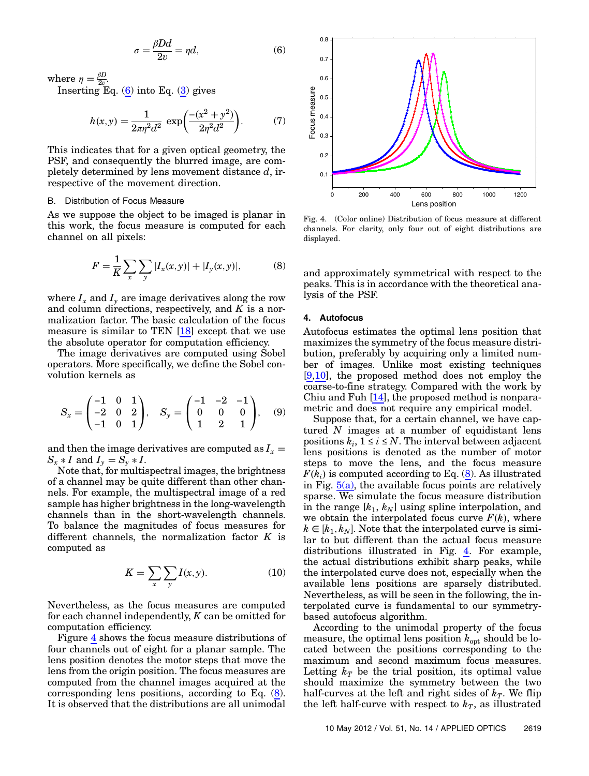$$
\sigma = \frac{\beta D d}{2v} = \eta d,\tag{6}
$$

where  $\eta = \frac{\beta D}{2v}$ .

Inserting Eq.  $(6)$  into Eq.  $(3)$  gives

$$
h(x,y) = \frac{1}{2\pi\eta^2 d^2} \exp\left(\frac{-(x^2 + y^2)}{2\eta^2 d^2}\right).
$$
 (7)

This indicates that for a given optical geometry, the PSF, and consequently the blurred image, are completely determined by lens movement distance  $d$ , irrespective of the movement direction.

#### B. Distribution of Focus Measure

<span id="page-3-2"></span>As we suppose the object to be imaged is planar in this work, the focus measure is computed for each channel on all pixels:

$$
F = \frac{1}{K} \sum_{x} \sum_{y} |I_x(x, y)| + |I_y(x, y)|,
$$
 (8)

where  $I_x$  and  $I_y$  are image derivatives along the row and column directions, respectively, and  $K$  is a normalization factor. The basic calculation of the focus measure is similar to TEN [\[18](#page-7-17)] except that we use the absolute operator for computation efficiency.

The image derivatives are computed using Sobel operators. More specifically, we define the Sobel convolution kernels as

$$
S_x = \begin{pmatrix} -1 & 0 & 1 \\ -2 & 0 & 2 \\ -1 & 0 & 1 \end{pmatrix}, \quad S_y = \begin{pmatrix} -1 & -2 & -1 \\ 0 & 0 & 0 \\ 1 & 2 & 1 \end{pmatrix}, \quad (9)
$$

and then the image derivatives are computed as  $I_x =$  $S_x * I$  and  $I_y = S_y * I$ .

Note that, for multispectral images, the brightness of a channel may be quite different than other channels. For example, the multispectral image of a red sample has higher brightness in the long-wavelength channels than in the short-wavelength channels. To balance the magnitudes of focus measures for different channels, the normalization factor  $K$  is computed as

$$
K = \sum_{x} \sum_{y} I(x, y). \tag{10}
$$

Nevertheless, as the focus measures are computed for each channel independently,  $K$  can be omitted for computation efficiency.

Figure [4](#page-3-1) shows the focus measure distributions of four channels out of eight for a planar sample. The lens position denotes the motor steps that move the lens from the origin position. The focus measures are computed from the channel images acquired at the corresponding lens positions, according to Eq. ([8](#page-3-2)). It is observed that the distributions are all unimodal

<span id="page-3-1"></span>

Fig. 4. (Color online) Distribution of focus measure at different channels. For clarity, only four out of eight distributions are displayed.

<span id="page-3-0"></span>and approximately symmetrical with respect to the peaks. This is in accordance with the theoretical analysis of the PSF.

# 4. Autofocus

Autofocus estimates the optimal lens position that maximizes the symmetry of the focus measure distribution, preferably by acquiring only a limited number of images. Unlike most existing techniques [\[9](#page-7-8)[,10\]](#page-7-9), the proposed method does not employ the coarse-to-fine strategy. Compared with the work by Chiu and Fuh  $[14]$  $[14]$ , the proposed method is nonparametric and does not require any empirical model.

Suppose that, for a certain channel, we have captured  $N$  images at a number of equidistant lens positions  $k_i$ ,  $1 \le i \le N$ . The interval between adjacent lens positions is denoted as the number of motor steps to move the lens, and the focus measure  $F(k_i)$  is computed according to Eq. ([8\)](#page-3-2). As illustrated in Fig.  $5(a)$ , the available focus points are relatively sparse. We simulate the focus measure distribution in the range  $[k_1, k_N]$  using spline interpolation, and we obtain the interpolated focus curve  $F(k)$ , where  $k \in [k_1, k_N]$ . Note that the interpolated curve is similar to but different than the actual focus measure distributions illustrated in Fig. [4.](#page-3-1) For example, the actual distributions exhibit sharp peaks, while the interpolated curve does not, especially when the available lens positions are sparsely distributed. Nevertheless, as will be seen in the following, the interpolated curve is fundamental to our symmetrybased autofocus algorithm.

According to the unimodal property of the focus measure, the optimal lens position  $k_{opt}$  should be located between the positions corresponding to the maximum and second maximum focus measures. Letting  $k_T$  be the trial position, its optimal value should maximize the symmetry between the two half-curves at the left and right sides of  $k_T$ . We flip the left half-curve with respect to  $k_T$ , as illustrated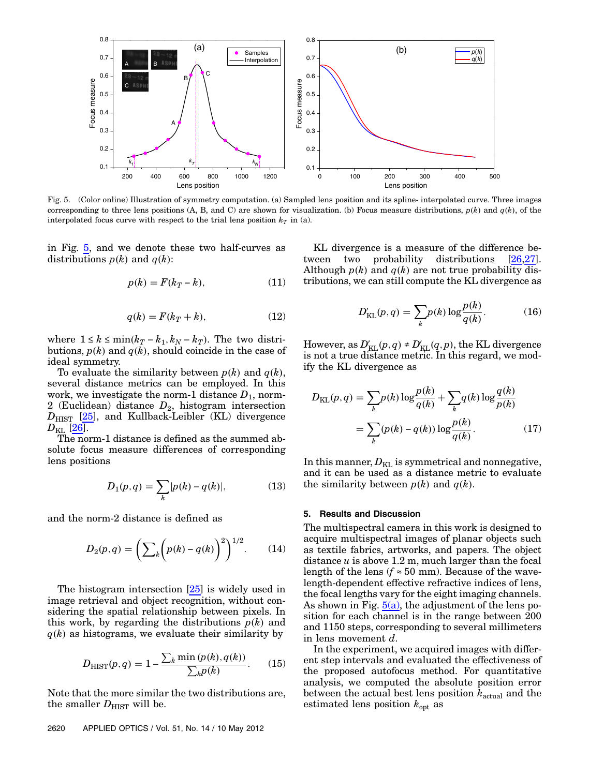<span id="page-4-1"></span>

Fig. 5. (Color online) Illustration of symmetry computation. (a) Sampled lens position and its spline- interpolated curve. Three images corresponding to three lens positions (A, B, and C) are shown for visualization. (b) Focus measure distributions,  $p(k)$  and  $q(k)$ , of the interpolated focus curve with respect to the trial lens position  $k<sub>T</sub>$  in (a).

in Fig.  $5$ , and we denote these two half-curves as distributions  $p(k)$  and  $q(k)$ :

$$
p(k) = F(k_T - k),\tag{11}
$$

$$
q(k) = F(k_T + k),\tag{12}
$$

where  $1 \le k \le \min(k_T - k_1, k_N - k_T)$ . The two distributions,  $p(k)$  and  $q(k)$ , should coincide in the case of ideal symmetry.

To evaluate the similarity between  $p(k)$  and  $q(k)$ , several distance metrics can be employed. In this work, we investigate the norm-1 distance  $D_1$ , norm-2 (Euclidean) distance  $D_2$ , histogram intersection  $D_{\text{HIST}}$  [[25\]](#page-7-24), and Kullback-Leibler (KL) divergence  $D_{\text{KL}}$  [[26\]](#page-7-25).

The norm-1 distance is defined as the summed absolute focus measure differences of corresponding lens positions

$$
D_1(p,q) = \sum_k |p(k) - q(k)|,\tag{13}
$$

and the norm-2 distance is defined as

$$
D_2(p,q) = \left(\sum_k \left(p(k) - q(k)\right)^2\right)^{1/2}.\tag{14}
$$

The histogram intersection [[25](#page-7-24)] is widely used in image retrieval and object recognition, without considering the spatial relationship between pixels. In this work, by regarding the distributions  $p(k)$  and  $q(k)$  as histograms, we evaluate their similarity by

$$
D_{\text{HIST}}(p,q) = 1 - \frac{\sum_{k} \min(p(k), q(k))}{\sum_{k} p(k)}.
$$
 (15)

Note that the more similar the two distributions are, the smaller  $D_{\text{HIST}}$  will be.

KL divergence is a measure of the difference between two probability distributions  $[26,27]$  $[26,27]$  $[26,27]$ . Although  $p(k)$  and  $q(k)$  are not true probability distributions, we can still compute the KL divergence as

$$
D'_{\text{KL}}(p,q) = \sum_{k} p(k) \log \frac{p(k)}{q(k)}.\tag{16}
$$

However, as  $D'_{\text{KL}}(p,q) \neq D'_{\text{KL}}(q,p)$ , the KL divergence is not a true distance metric. In this regard, we modify the KL divergence as

$$
D_{\text{KL}}(p,q) = \sum_{k} p(k) \log \frac{p(k)}{q(k)} + \sum_{k} q(k) \log \frac{q(k)}{p(k)}
$$

$$
= \sum_{k} (p(k) - q(k)) \log \frac{p(k)}{q(k)}.
$$
(17)

<span id="page-4-0"></span>In this manner,  $D_{\text{KL}}$  is symmetrical and nonnegative, and it can be used as a distance metric to evaluate the similarity between  $p(k)$  and  $q(k)$ .

## 5. Results and Discussion

The multispectral camera in this work is designed to acquire multispectral images of planar objects such as textile fabrics, artworks, and papers. The object distance  $u$  is above 1.2 m, much larger than the focal length of the lens ( $f \approx 50$  mm). Because of the wavelength-dependent effective refractive indices of lens, the focal lengths vary for the eight imaging channels. As shown in Fig.  $5(a)$ , the adjustment of the lens position for each channel is in the range between 200 and 1150 steps, corresponding to several millimeters in lens movement d.

In the experiment, we acquired images with different step intervals and evaluated the effectiveness of the proposed autofocus method. For quantitative analysis, we computed the absolute position error between the actual best lens position  $k_{\text{actual}}$  and the estimated lens position  $k_{\text{opt}}$  as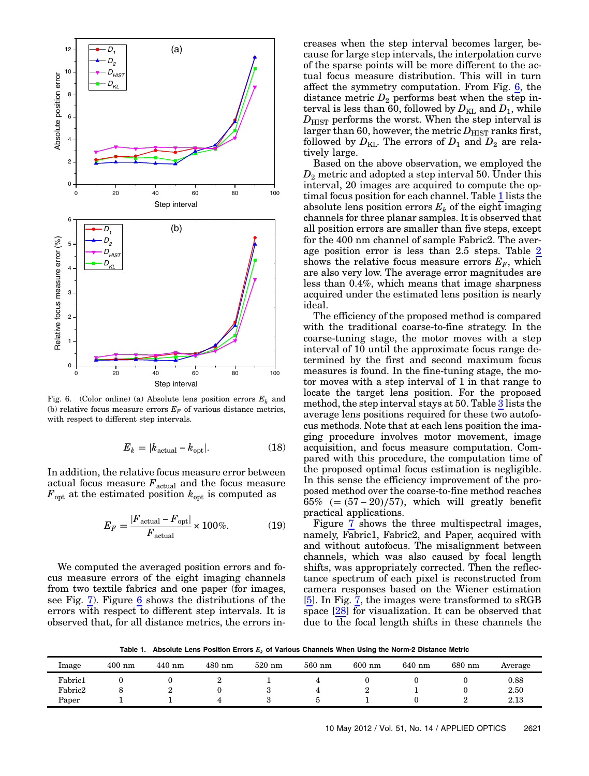<span id="page-5-0"></span>

Fig. 6. (Color online) (a) Absolute lens position errors  $E_k$  and (b) relative focus measure errors  $E_F$  of various distance metrics, with respect to different step intervals.

$$
E_k = |k_{\text{actual}} - k_{\text{opt}}|.
$$
 (18)

In addition, the relative focus measure error between actual focus measure  $F_{\text{actual}}$  and the focus measure  $F_{\text{opt}}$  at the estimated position  $k_{\text{opt}}$  is computed as

$$
E_F = \frac{|F_{\text{actual}} - F_{\text{opt}}|}{F_{\text{actual}}} \times 100\%.
$$
 (19)

We computed the averaged position errors and focus measure errors of the eight imaging channels from two textile fabrics and one paper (for images, see Fig. [7\)](#page-6-1). Figure [6](#page-5-0) shows the distributions of the errors with respect to different step intervals. It is observed that, for all distance metrics, the errors increases when the step interval becomes larger, because for large step intervals, the interpolation curve of the sparse points will be more different to the actual focus measure distribution. This will in turn affect the symmetry computation. From Fig. [6](#page-5-0), the distance metric  $D_2$  performs best when the step interval is less than 60, followed by  $D_{\text{KL}}$  and  $D_1$ , while  $D<sub>HIST</sub>$  performs the worst. When the step interval is larger than 60, however, the metric  $D_{\text{HIST}}$  ranks first, followed by  $D_{\text{KL}}$ . The errors of  $D_1$  and  $D_2$  are relatively large.

Based on the above observation, we employed the  $D_2$  metric and adopted a step interval 50. Under this interval, 20 images are acquired to compute the op-timal focus position for each channel. Table [1](#page-5-1) lists the absolute lens position errors  $E_k$  of the eight imaging channels for three planar samples. It is observed that all position errors are smaller than five steps, except for the 400 nm channel of sample Fabric2. The average position error is less than 2.5 steps. Table [2](#page-6-2) shows the relative focus measure errors  $E_F$ , which are also very low. The average error magnitudes are less than 0.4%, which means that image sharpness acquired under the estimated lens position is nearly ideal.

The efficiency of the proposed method is compared with the traditional coarse-to-fine strategy. In the coarse-tuning stage, the motor moves with a step interval of 10 until the approximate focus range determined by the first and second maximum focus measures is found. In the fine-tuning stage, the motor moves with a step interval of 1 in that range to locate the target lens position. For the proposed method, the step interval stays at 50. Table [3](#page-6-3) lists the average lens positions required for these two autofocus methods. Note that at each lens position the imaging procedure involves motor movement, image acquisition, and focus measure computation. Compared with this procedure, the computation time of the proposed optimal focus estimation is negligible. In this sense the efficiency improvement of the proposed method over the coarse-to-fine method reaches  $65\%$  (=  $(57-20)/57$ ), which will greatly benefit practical applications.

Figure [7](#page-6-1) shows the three multispectral images, namely, Fabric1, Fabric2, and Paper, acquired with and without autofocus. The misalignment between channels, which was also caused by focal length shifts, was appropriately corrected. Then the reflectance spectrum of each pixel is reconstructed from camera responses based on the Wiener estimation [\[5\]](#page-7-4). In Fig. [7](#page-6-1), the images were transformed to sRGB space [\[28](#page-7-27)] for visualization. It can be observed that due to the focal length shifts in these channels the

Table 1. Absolute Lens Position Errors  $E_k$  of Various Channels When Using the Norm-2 Distance Metric

<span id="page-5-1"></span>

| Image   | $400$ nm | $440$ nm | $480$ nm | $520$ nm | $560$ nm | $600$ nm | 640 nm | 680 nm | Average |
|---------|----------|----------|----------|----------|----------|----------|--------|--------|---------|
| Fabric1 |          |          | ∼        | <b>.</b> |          |          |        |        | 0.88    |
| Fabric2 |          |          |          |          |          |          |        |        | 2.50    |
| Paper   |          |          |          |          |          |          |        |        | 2.13    |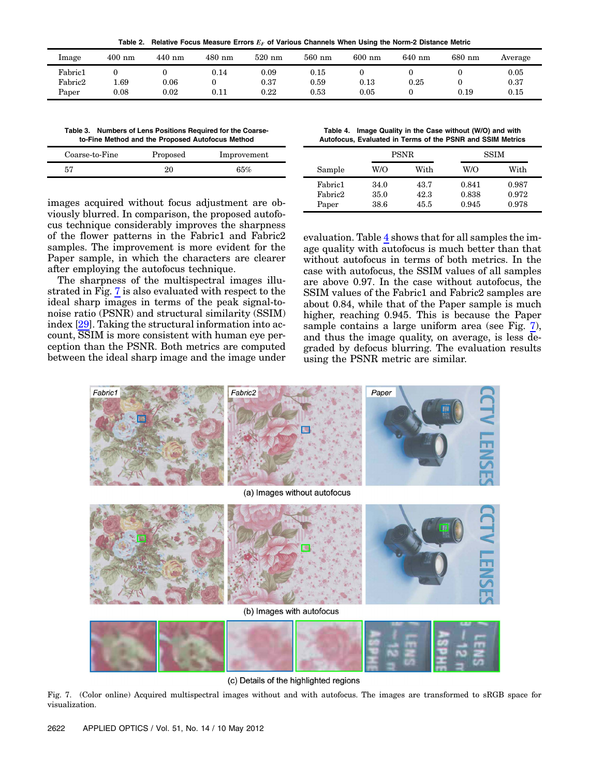Table 2. Relative Focus Measure Errors  $E_F$  of Various Channels When Using the Norm-2 Distance Metric

<span id="page-6-2"></span>

| Image   | $400$ nm | $440$ nm | $480$ nm   | $520$ nm  | $560$ nm   | $600$ nm  | $640$ nm | 680 nm | Average    |
|---------|----------|----------|------------|-----------|------------|-----------|----------|--------|------------|
| Fabric1 |          |          | 0.14       | 0.09      | $\rm 0.15$ |           |          |        | $0.05\,$   |
| Fabric2 | 1.69     | 0.06     |            | $_{0.37}$ | 0.59       | $_{0.13}$ | 0.25     |        | 0.37       |
| Paper   | 0.08     | 0.02     | $\rm 0.11$ | $0.22\,$  | 0.53       | 0.05      |          | 0.19   | $\rm 0.15$ |

<span id="page-6-3"></span>Table 3. Numbers of Lens Positions Required for the Coarseto-Fine Method and the Proposed Autofocus Method

| Coarse-to-Fine | Proposed | Improvement |
|----------------|----------|-------------|
| 55             |          | 65%         |

images acquired without focus adjustment are obviously blurred. In comparison, the proposed autofocus technique considerably improves the sharpness of the flower patterns in the Fabric1 and Fabric2 samples. The improvement is more evident for the Paper sample, in which the characters are clearer after employing the autofocus technique.

The sharpness of the multispectral images illustrated in Fig. [7](#page-6-1) is also evaluated with respect to the ideal sharp images in terms of the peak signal-tonoise ratio (PSNR) and structural similarity (SSIM) index [[29\]](#page-7-28). Taking the structural information into account, SSIM is more consistent with human eye perception than the PSNR. Both metrics are computed between the ideal sharp image and the image under

<span id="page-6-4"></span>Table 4. Image Quality in the Case without (W/O) and with Autofocus, Evaluated in Terms of the PSNR and SSIM Metrics

|                  |              | <b>PSNR</b>  | <b>SSIM</b>    |                |  |
|------------------|--------------|--------------|----------------|----------------|--|
| Sample           | W/O          | With         | W/O            | With           |  |
| Fabric1          | 34.0         | 43.7         | 0.841          | 0.987          |  |
| Fabric2<br>Paper | 35.0<br>38.6 | 42.3<br>45.5 | 0.838<br>0.945 | 0.972<br>0.978 |  |

<span id="page-6-0"></span>evaluation. Table [4](#page-6-4) shows that for all samples the image quality with autofocus is much better than that without autofocus in terms of both metrics. In the case with autofocus, the SSIM values of all samples are above 0.97. In the case without autofocus, the SSIM values of the Fabric1 and Fabric2 samples are about 0.84, while that of the Paper sample is much higher, reaching 0.945. This is because the Paper sample contains a large uniform area (see Fig. [7](#page-6-1)), and thus the image quality, on average, is less degraded by defocus blurring. The evaluation results using the PSNR metric are similar.

<span id="page-6-1"></span>

(c) Details of the highlighted regions

Fig. 7. (Color online) Acquired multispectral images without and with autofocus. The images are transformed to sRGB space for visualization.